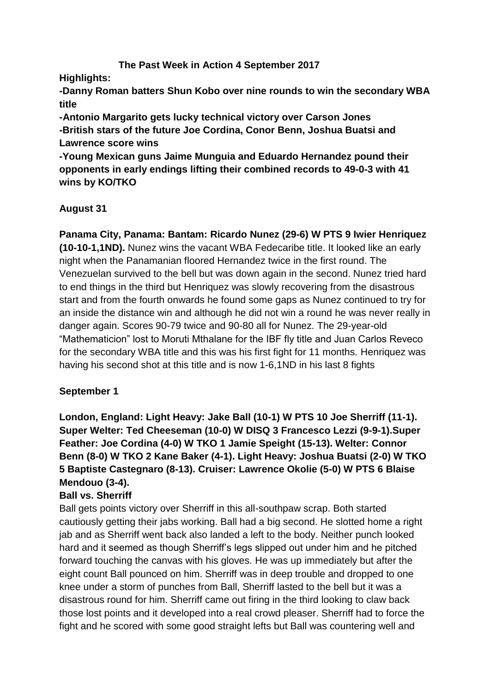### **The Past Week in Action 4 September 2017**

**Highlights:**

**-Danny Roman batters Shun Kobo over nine rounds to win the secondary WBA title**

**-Antonio Margarito gets lucky technical victory over Carson Jones -British stars of the future Joe Cordina, Conor Benn, Joshua Buatsi and Lawrence score wins**

**-Young Mexican guns Jaime Munguia and Eduardo Hernandez pound their opponents in early endings lifting their combined records to 49-0-3 with 41 wins by KO/TKO**

## **August 31**

**Panama City, Panama: Bantam: Ricardo Nunez (29-6) W PTS 9 Iwier Henriquez (10-10-1,1ND).** Nunez wins the vacant WBA Fedecaribe title. It looked like an early night when the Panamanian floored Hernandez twice in the first round. The Venezuelan survived to the bell but was down again in the second. Nunez tried hard to end things in the third but Henriquez was slowly recovering from the disastrous start and from the fourth onwards he found some gaps as Nunez continued to try for an inside the distance win and although he did not win a round he was never really in danger again. Scores 90-79 twice and 90-80 all for Nunez. The 29-year-old "Mathematicion" lost to Moruti Mthalane for the IBF fly title and Juan Carlos Reveco for the secondary WBA title and this was his first fight for 11 months. Henriquez was having his second shot at this title and is now 1-6,1ND in his last 8 fights

## **September 1**

**London, England: Light Heavy: Jake Ball (10-1) W PTS 10 Joe Sherriff (11-1). Super Welter: Ted Cheeseman (10-0) W DISQ 3 Francesco Lezzi (9-9-1).Super Feather: Joe Cordina (4-0) W TKO 1 Jamie Speight (15-13). Welter: Connor Benn (8-0) W TKO 2 Kane Baker (4-1). Light Heavy: Joshua Buatsi (2-0) W TKO 5 Baptiste Castegnaro (8-13). Cruiser: Lawrence Okolie (5-0) W PTS 6 Blaise Mendouo (3-4).**

## **Ball vs. Sherriff**

Ball gets points victory over Sherriff in this all-southpaw scrap. Both started cautiously getting their jabs working. Ball had a big second. He slotted home a right jab and as Sherriff went back also landed a left to the body. Neither punch looked hard and it seemed as though Sherriff's legs slipped out under him and he pitched forward touching the canvas with his gloves. He was up immediately but after the eight count Ball pounced on him. Sherriff was in deep trouble and dropped to one knee under a storm of punches from Ball, Sherriff lasted to the bell but it was a disastrous round for him. Sherriff came out firing in the third looking to claw back those lost points and it developed into a real crowd pleaser. Sherriff had to force the fight and he scored with some good straight lefts but Ball was countering well and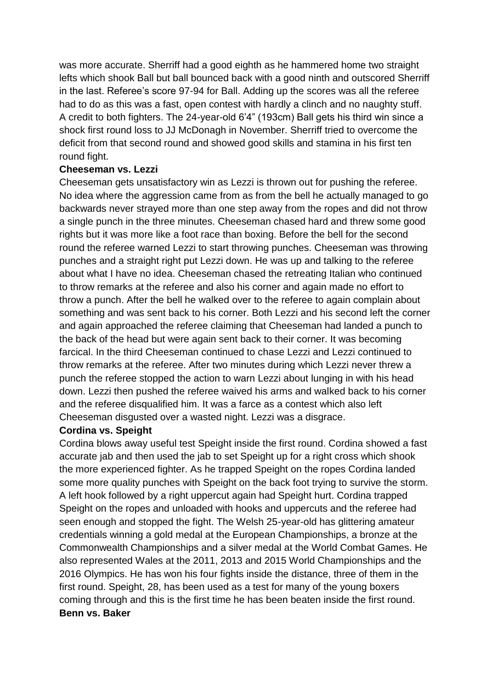was more accurate. Sherriff had a good eighth as he hammered home two straight lefts which shook Ball but ball bounced back with a good ninth and outscored Sherriff in the last. Referee's score 97-94 for Ball. Adding up the scores was all the referee had to do as this was a fast, open contest with hardly a clinch and no naughty stuff. A credit to both fighters. The 24-year-old 6'4" (193cm) Ball gets his third win since a shock first round loss to JJ McDonagh in November. Sherriff tried to overcome the deficit from that second round and showed good skills and stamina in his first ten round fight.

### **Cheeseman vs. Lezzi**

Cheeseman gets unsatisfactory win as Lezzi is thrown out for pushing the referee. No idea where the aggression came from as from the bell he actually managed to go backwards never strayed more than one step away from the ropes and did not throw a single punch in the three minutes. Cheeseman chased hard and threw some good rights but it was more like a foot race than boxing. Before the bell for the second round the referee warned Lezzi to start throwing punches. Cheeseman was throwing punches and a straight right put Lezzi down. He was up and talking to the referee about what I have no idea. Cheeseman chased the retreating Italian who continued to throw remarks at the referee and also his corner and again made no effort to throw a punch. After the bell he walked over to the referee to again complain about something and was sent back to his corner. Both Lezzi and his second left the corner and again approached the referee claiming that Cheeseman had landed a punch to the back of the head but were again sent back to their corner. It was becoming farcical. In the third Cheeseman continued to chase Lezzi and Lezzi continued to throw remarks at the referee. After two minutes during which Lezzi never threw a punch the referee stopped the action to warn Lezzi about lunging in with his head down. Lezzi then pushed the referee waived his arms and walked back to his corner and the referee disqualified him. It was a farce as a contest which also left Cheeseman disgusted over a wasted night. Lezzi was a disgrace.

#### **Cordina vs. Speight**

Cordina blows away useful test Speight inside the first round. Cordina showed a fast accurate jab and then used the jab to set Speight up for a right cross which shook the more experienced fighter. As he trapped Speight on the ropes Cordina landed some more quality punches with Speight on the back foot trying to survive the storm. A left hook followed by a right uppercut again had Speight hurt. Cordina trapped Speight on the ropes and unloaded with hooks and uppercuts and the referee had seen enough and stopped the fight. The Welsh 25-year-old has glittering amateur credentials winning a gold medal at the European Championships, a bronze at the Commonwealth Championships and a silver medal at the World Combat Games. He also represented Wales at the 2011, 2013 and 2015 World Championships and the 2016 Olympics. He has won his four fights inside the distance, three of them in the first round. Speight, 28, has been used as a test for many of the young boxers coming through and this is the first time he has been beaten inside the first round. **Benn vs. Baker**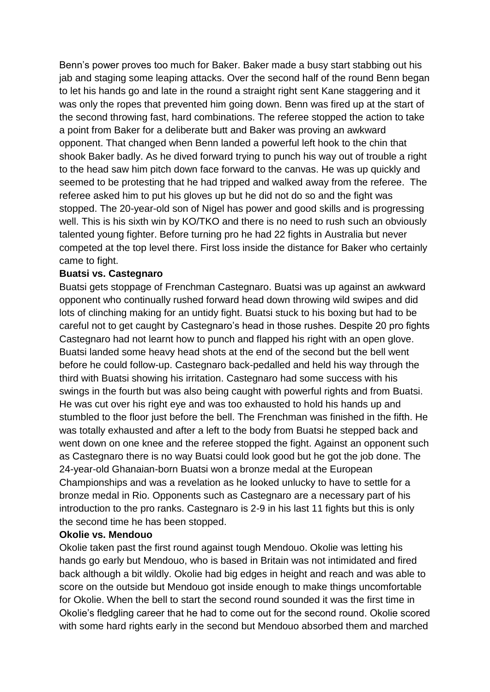Benn's power proves too much for Baker. Baker made a busy start stabbing out his jab and staging some leaping attacks. Over the second half of the round Benn began to let his hands go and late in the round a straight right sent Kane staggering and it was only the ropes that prevented him going down. Benn was fired up at the start of the second throwing fast, hard combinations. The referee stopped the action to take a point from Baker for a deliberate butt and Baker was proving an awkward opponent. That changed when Benn landed a powerful left hook to the chin that shook Baker badly. As he dived forward trying to punch his way out of trouble a right to the head saw him pitch down face forward to the canvas. He was up quickly and seemed to be protesting that he had tripped and walked away from the referee. The referee asked him to put his gloves up but he did not do so and the fight was stopped. The 20-year-old son of Nigel has power and good skills and is progressing well. This is his sixth win by KO/TKO and there is no need to rush such an obviously talented young fighter. Before turning pro he had 22 fights in Australia but never competed at the top level there. First loss inside the distance for Baker who certainly came to fight.

#### **Buatsi vs. Castegnaro**

Buatsi gets stoppage of Frenchman Castegnaro. Buatsi was up against an awkward opponent who continually rushed forward head down throwing wild swipes and did lots of clinching making for an untidy fight. Buatsi stuck to his boxing but had to be careful not to get caught by Castegnaro's head in those rushes. Despite 20 pro fights Castegnaro had not learnt how to punch and flapped his right with an open glove. Buatsi landed some heavy head shots at the end of the second but the bell went before he could follow-up. Castegnaro back-pedalled and held his way through the third with Buatsi showing his irritation. Castegnaro had some success with his swings in the fourth but was also being caught with powerful rights and from Buatsi. He was cut over his right eye and was too exhausted to hold his hands up and stumbled to the floor just before the bell. The Frenchman was finished in the fifth. He was totally exhausted and after a left to the body from Buatsi he stepped back and went down on one knee and the referee stopped the fight. Against an opponent such as Castegnaro there is no way Buatsi could look good but he got the job done. The 24-year-old Ghanaian-born Buatsi won a bronze medal at the European Championships and was a revelation as he looked unlucky to have to settle for a bronze medal in Rio. Opponents such as Castegnaro are a necessary part of his introduction to the pro ranks. Castegnaro is 2-9 in his last 11 fights but this is only the second time he has been stopped.

#### **Okolie vs. Mendouo**

Okolie taken past the first round against tough Mendouo. Okolie was letting his hands go early but Mendouo, who is based in Britain was not intimidated and fired back although a bit wildly. Okolie had big edges in height and reach and was able to score on the outside but Mendouo got inside enough to make things uncomfortable for Okolie. When the bell to start the second round sounded it was the first time in Okolie's fledgling career that he had to come out for the second round. Okolie scored with some hard rights early in the second but Mendouo absorbed them and marched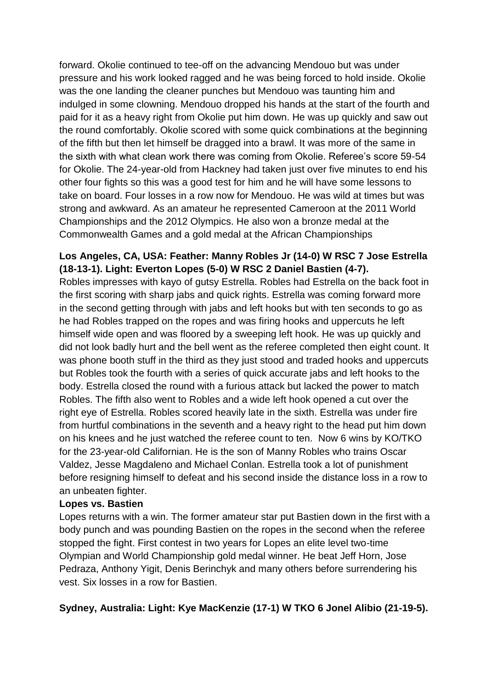forward. Okolie continued to tee-off on the advancing Mendouo but was under pressure and his work looked ragged and he was being forced to hold inside. Okolie was the one landing the cleaner punches but Mendouo was taunting him and indulged in some clowning. Mendouo dropped his hands at the start of the fourth and paid for it as a heavy right from Okolie put him down. He was up quickly and saw out the round comfortably. Okolie scored with some quick combinations at the beginning of the fifth but then let himself be dragged into a brawl. It was more of the same in the sixth with what clean work there was coming from Okolie. Referee's score 59-54 for Okolie. The 24-year-old from Hackney had taken just over five minutes to end his other four fights so this was a good test for him and he will have some lessons to take on board. Four losses in a row now for Mendouo. He was wild at times but was strong and awkward. As an amateur he represented Cameroon at the 2011 World Championships and the 2012 Olympics. He also won a bronze medal at the Commonwealth Games and a gold medal at the African Championships

### **Los Angeles, CA, USA: Feather: Manny Robles Jr (14-0) W RSC 7 Jose Estrella (18-13-1). Light: Everton Lopes (5-0) W RSC 2 Daniel Bastien (4-7).**

Robles impresses with kayo of gutsy Estrella. Robles had Estrella on the back foot in the first scoring with sharp jabs and quick rights. Estrella was coming forward more in the second getting through with jabs and left hooks but with ten seconds to go as he had Robles trapped on the ropes and was firing hooks and uppercuts he left himself wide open and was floored by a sweeping left hook. He was up quickly and did not look badly hurt and the bell went as the referee completed then eight count. It was phone booth stuff in the third as they just stood and traded hooks and uppercuts but Robles took the fourth with a series of quick accurate jabs and left hooks to the body. Estrella closed the round with a furious attack but lacked the power to match Robles. The fifth also went to Robles and a wide left hook opened a cut over the right eye of Estrella. Robles scored heavily late in the sixth. Estrella was under fire from hurtful combinations in the seventh and a heavy right to the head put him down on his knees and he just watched the referee count to ten. Now 6 wins by KO/TKO for the 23-year-old Californian. He is the son of Manny Robles who trains Oscar Valdez, Jesse Magdaleno and Michael Conlan. Estrella took a lot of punishment before resigning himself to defeat and his second inside the distance loss in a row to an unbeaten fighter.

#### **Lopes vs. Bastien**

Lopes returns with a win. The former amateur star put Bastien down in the first with a body punch and was pounding Bastien on the ropes in the second when the referee stopped the fight. First contest in two years for Lopes an elite level two-time Olympian and World Championship gold medal winner. He beat Jeff Horn, Jose Pedraza, Anthony Yigit, Denis Berinchyk and many others before surrendering his vest. Six losses in a row for Bastien.

### **Sydney, Australia: Light: Kye MacKenzie (17-1) W TKO 6 Jonel Alibio (21-19-5).**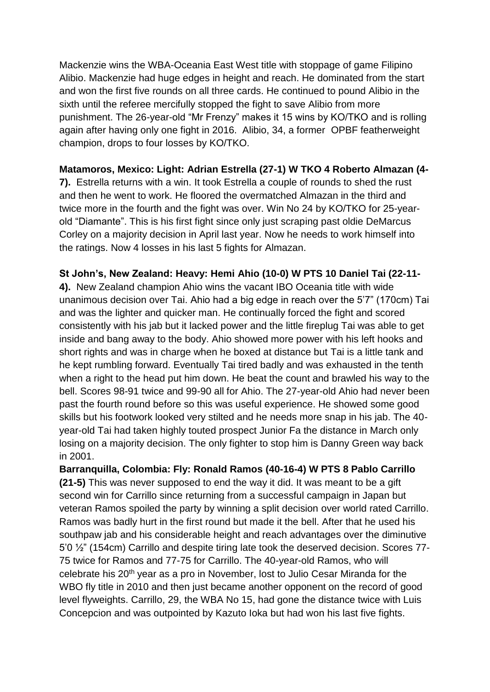Mackenzie wins the WBA-Oceania East West title with stoppage of game Filipino Alibio. Mackenzie had huge edges in height and reach. He dominated from the start and won the first five rounds on all three cards. He continued to pound Alibio in the sixth until the referee mercifully stopped the fight to save Alibio from more punishment. The 26-year-old "Mr Frenzy" makes it 15 wins by KO/TKO and is rolling again after having only one fight in 2016. Alibio, 34, a former OPBF featherweight champion, drops to four losses by KO/TKO.

### **Matamoros, Mexico: Light: Adrian Estrella (27-1) W TKO 4 Roberto Almazan (4-**

**7).** Estrella returns with a win. It took Estrella a couple of rounds to shed the rust and then he went to work. He floored the overmatched Almazan in the third and twice more in the fourth and the fight was over. Win No 24 by KO/TKO for 25-yearold "Diamante". This is his first fight since only just scraping past oldie DeMarcus Corley on a majority decision in April last year. Now he needs to work himself into the ratings. Now 4 losses in his last 5 fights for Almazan.

### **St John's, New Zealand: Heavy: Hemi Ahio (10-0) W PTS 10 Daniel Tai (22-11-**

**4).** New Zealand champion Ahio wins the vacant IBO Oceania title with wide unanimous decision over Tai. Ahio had a big edge in reach over the 5'7" (170cm) Tai and was the lighter and quicker man. He continually forced the fight and scored consistently with his jab but it lacked power and the little fireplug Tai was able to get inside and bang away to the body. Ahio showed more power with his left hooks and short rights and was in charge when he boxed at distance but Tai is a little tank and he kept rumbling forward. Eventually Tai tired badly and was exhausted in the tenth when a right to the head put him down. He beat the count and brawled his way to the bell. Scores 98-91 twice and 99-90 all for Ahio. The 27-year-old Ahio had never been past the fourth round before so this was useful experience. He showed some good skills but his footwork looked very stilted and he needs more snap in his jab. The 40 year-old Tai had taken highly touted prospect Junior Fa the distance in March only losing on a majority decision. The only fighter to stop him is Danny Green way back in 2001.

**Barranquilla, Colombia: Fly: Ronald Ramos (40-16-4) W PTS 8 Pablo Carrillo (21-5)** This was never supposed to end the way it did. It was meant to be a gift second win for Carrillo since returning from a successful campaign in Japan but veteran Ramos spoiled the party by winning a split decision over world rated Carrillo. Ramos was badly hurt in the first round but made it the bell. After that he used his southpaw jab and his considerable height and reach advantages over the diminutive 5'0 ½" (154cm) Carrillo and despite tiring late took the deserved decision. Scores 77- 75 twice for Ramos and 77-75 for Carrillo. The 40-year-old Ramos, who will celebrate his 20th year as a pro in November, lost to Julio Cesar Miranda for the WBO fly title in 2010 and then just became another opponent on the record of good level flyweights. Carrillo, 29, the WBA No 15, had gone the distance twice with Luis Concepcion and was outpointed by Kazuto Ioka but had won his last five fights.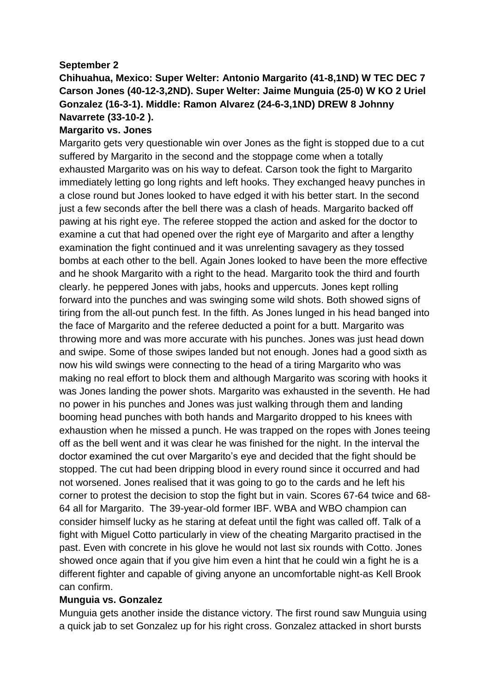#### **September 2**

## **Chihuahua, Mexico: Super Welter: Antonio Margarito (41-8,1ND) W TEC DEC 7 Carson Jones (40-12-3,2ND). Super Welter: Jaime Munguia (25-0) W KO 2 Uriel Gonzalez (16-3-1). Middle: Ramon Alvarez (24-6-3,1ND) DREW 8 Johnny Navarrete (33-10-2 ).**

### **Margarito vs. Jones**

Margarito gets very questionable win over Jones as the fight is stopped due to a cut suffered by Margarito in the second and the stoppage come when a totally exhausted Margarito was on his way to defeat. Carson took the fight to Margarito immediately letting go long rights and left hooks. They exchanged heavy punches in a close round but Jones looked to have edged it with his better start. In the second just a few seconds after the bell there was a clash of heads. Margarito backed off pawing at his right eye. The referee stopped the action and asked for the doctor to examine a cut that had opened over the right eye of Margarito and after a lengthy examination the fight continued and it was unrelenting savagery as they tossed bombs at each other to the bell. Again Jones looked to have been the more effective and he shook Margarito with a right to the head. Margarito took the third and fourth clearly. he peppered Jones with jabs, hooks and uppercuts. Jones kept rolling forward into the punches and was swinging some wild shots. Both showed signs of tiring from the all-out punch fest. In the fifth. As Jones lunged in his head banged into the face of Margarito and the referee deducted a point for a butt. Margarito was throwing more and was more accurate with his punches. Jones was just head down and swipe. Some of those swipes landed but not enough. Jones had a good sixth as now his wild swings were connecting to the head of a tiring Margarito who was making no real effort to block them and although Margarito was scoring with hooks it was Jones landing the power shots. Margarito was exhausted in the seventh. He had no power in his punches and Jones was just walking through them and landing booming head punches with both hands and Margarito dropped to his knees with exhaustion when he missed a punch. He was trapped on the ropes with Jones teeing off as the bell went and it was clear he was finished for the night. In the interval the doctor examined the cut over Margarito's eye and decided that the fight should be stopped. The cut had been dripping blood in every round since it occurred and had not worsened. Jones realised that it was going to go to the cards and he left his corner to protest the decision to stop the fight but in vain. Scores 67-64 twice and 68- 64 all for Margarito. The 39-year-old former IBF. WBA and WBO champion can consider himself lucky as he staring at defeat until the fight was called off. Talk of a fight with Miguel Cotto particularly in view of the cheating Margarito practised in the past. Even with concrete in his glove he would not last six rounds with Cotto. Jones showed once again that if you give him even a hint that he could win a fight he is a different fighter and capable of giving anyone an uncomfortable night-as Kell Brook can confirm.

#### **Munguia vs. Gonzalez**

Munguia gets another inside the distance victory. The first round saw Munguia using a quick jab to set Gonzalez up for his right cross. Gonzalez attacked in short bursts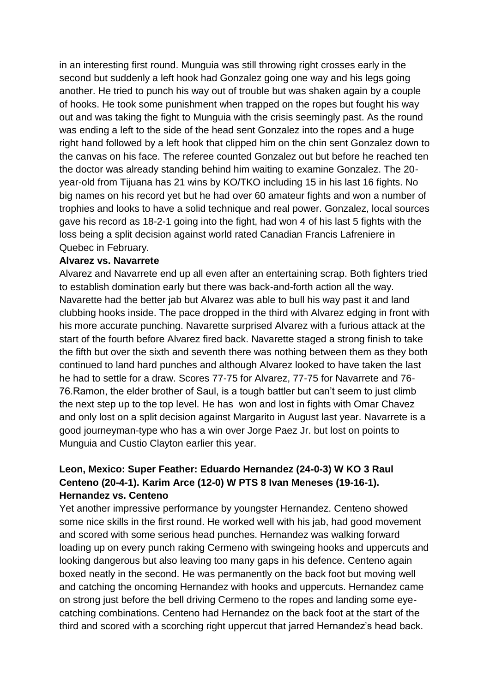in an interesting first round. Munguia was still throwing right crosses early in the second but suddenly a left hook had Gonzalez going one way and his legs going another. He tried to punch his way out of trouble but was shaken again by a couple of hooks. He took some punishment when trapped on the ropes but fought his way out and was taking the fight to Munguia with the crisis seemingly past. As the round was ending a left to the side of the head sent Gonzalez into the ropes and a huge right hand followed by a left hook that clipped him on the chin sent Gonzalez down to the canvas on his face. The referee counted Gonzalez out but before he reached ten the doctor was already standing behind him waiting to examine Gonzalez. The 20 year-old from Tijuana has 21 wins by KO/TKO including 15 in his last 16 fights. No big names on his record yet but he had over 60 amateur fights and won a number of trophies and looks to have a solid technique and real power. Gonzalez, local sources gave his record as 18-2-1 going into the fight, had won 4 of his last 5 fights with the loss being a split decision against world rated Canadian Francis Lafreniere in Quebec in February.

#### **Alvarez vs. Navarrete**

Alvarez and Navarrete end up all even after an entertaining scrap. Both fighters tried to establish domination early but there was back-and-forth action all the way. Navarette had the better jab but Alvarez was able to bull his way past it and land clubbing hooks inside. The pace dropped in the third with Alvarez edging in front with his more accurate punching. Navarette surprised Alvarez with a furious attack at the start of the fourth before Alvarez fired back. Navarette staged a strong finish to take the fifth but over the sixth and seventh there was nothing between them as they both continued to land hard punches and although Alvarez looked to have taken the last he had to settle for a draw. Scores 77-75 for Alvarez, 77-75 for Navarrete and 76- 76.Ramon, the elder brother of Saul, is a tough battler but can't seem to just climb the next step up to the top level. He has won and lost in fights with Omar Chavez and only lost on a split decision against Margarito in August last year. Navarrete is a good journeyman-type who has a win over Jorge Paez Jr. but lost on points to Munguia and Custio Clayton earlier this year.

### **Leon, Mexico: Super Feather: Eduardo Hernandez (24-0-3) W KO 3 Raul Centeno (20-4-1). Karim Arce (12-0) W PTS 8 Ivan Meneses (19-16-1). Hernandez vs. Centeno**

Yet another impressive performance by youngster Hernandez. Centeno showed some nice skills in the first round. He worked well with his jab, had good movement and scored with some serious head punches. Hernandez was walking forward loading up on every punch raking Cermeno with swingeing hooks and uppercuts and looking dangerous but also leaving too many gaps in his defence. Centeno again boxed neatly in the second. He was permanently on the back foot but moving well and catching the oncoming Hernandez with hooks and uppercuts. Hernandez came on strong just before the bell driving Cermeno to the ropes and landing some eyecatching combinations. Centeno had Hernandez on the back foot at the start of the third and scored with a scorching right uppercut that jarred Hernandez's head back.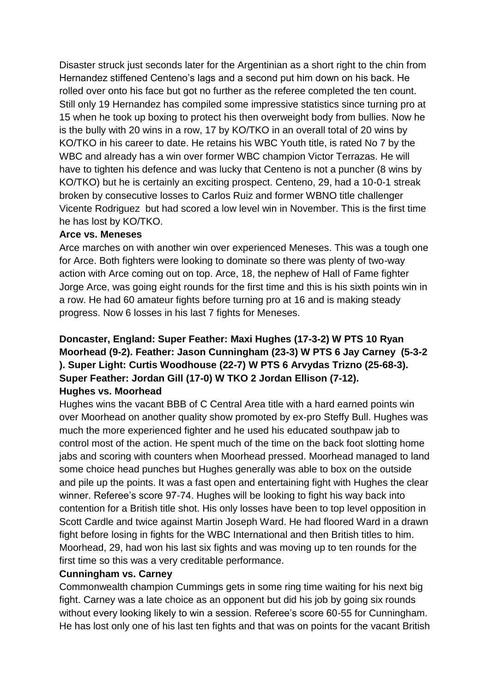Disaster struck just seconds later for the Argentinian as a short right to the chin from Hernandez stiffened Centeno's lags and a second put him down on his back. He rolled over onto his face but got no further as the referee completed the ten count. Still only 19 Hernandez has compiled some impressive statistics since turning pro at 15 when he took up boxing to protect his then overweight body from bullies. Now he is the bully with 20 wins in a row, 17 by KO/TKO in an overall total of 20 wins by KO/TKO in his career to date. He retains his WBC Youth title, is rated No 7 by the WBC and already has a win over former WBC champion Victor Terrazas. He will have to tighten his defence and was lucky that Centeno is not a puncher (8 wins by KO/TKO) but he is certainly an exciting prospect. Centeno, 29, had a 10-0-1 streak broken by consecutive losses to Carlos Ruiz and former WBNO title challenger Vicente Rodriguez but had scored a low level win in November. This is the first time he has lost by KO/TKO.

### **Arce vs. Meneses**

Arce marches on with another win over experienced Meneses. This was a tough one for Arce. Both fighters were looking to dominate so there was plenty of two-way action with Arce coming out on top. Arce, 18, the nephew of Hall of Fame fighter Jorge Arce, was going eight rounds for the first time and this is his sixth points win in a row. He had 60 amateur fights before turning pro at 16 and is making steady progress. Now 6 losses in his last 7 fights for Meneses.

### **Doncaster, England: Super Feather: Maxi Hughes (17-3-2) W PTS 10 Ryan Moorhead (9-2). Feather: Jason Cunningham (23-3) W PTS 6 Jay Carney (5-3-2 ). Super Light: Curtis Woodhouse (22-7) W PTS 6 Arvydas Trizno (25-68-3). Super Feather: Jordan Gill (17-0) W TKO 2 Jordan Ellison (7-12). Hughes vs. Moorhead**

Hughes wins the vacant BBB of C Central Area title with a hard earned points win over Moorhead on another quality show promoted by ex-pro Steffy Bull. Hughes was much the more experienced fighter and he used his educated southpaw jab to control most of the action. He spent much of the time on the back foot slotting home jabs and scoring with counters when Moorhead pressed. Moorhead managed to land some choice head punches but Hughes generally was able to box on the outside and pile up the points. It was a fast open and entertaining fight with Hughes the clear winner. Referee's score 97-74. Hughes will be looking to fight his way back into contention for a British title shot. His only losses have been to top level opposition in Scott Cardle and twice against Martin Joseph Ward. He had floored Ward in a drawn fight before losing in fights for the WBC International and then British titles to him. Moorhead, 29, had won his last six fights and was moving up to ten rounds for the first time so this was a very creditable performance.

#### **Cunningham vs. Carney**

Commonwealth champion Cummings gets in some ring time waiting for his next big fight. Carney was a late choice as an opponent but did his job by going six rounds without every looking likely to win a session. Referee's score 60-55 for Cunningham. He has lost only one of his last ten fights and that was on points for the vacant British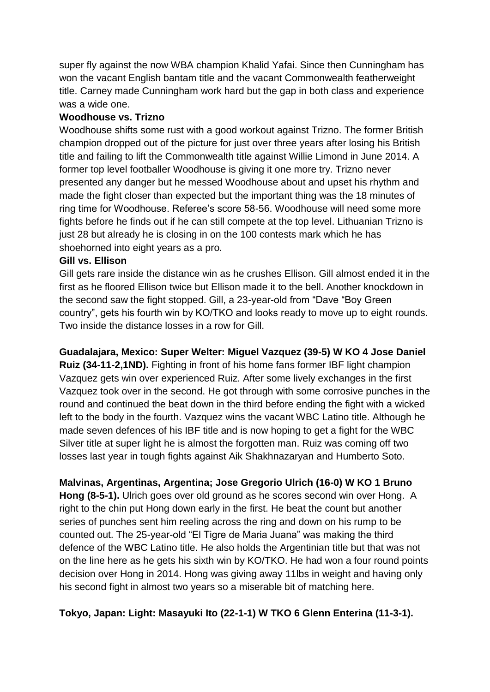super fly against the now WBA champion Khalid Yafai. Since then Cunningham has won the vacant English bantam title and the vacant Commonwealth featherweight title. Carney made Cunningham work hard but the gap in both class and experience was a wide one.

### **Woodhouse vs. Trizno**

Woodhouse shifts some rust with a good workout against Trizno. The former British champion dropped out of the picture for just over three years after losing his British title and failing to lift the Commonwealth title against Willie Limond in June 2014. A former top level footballer Woodhouse is giving it one more try. Trizno never presented any danger but he messed Woodhouse about and upset his rhythm and made the fight closer than expected but the important thing was the 18 minutes of ring time for Woodhouse. Referee's score 58-56. Woodhouse will need some more fights before he finds out if he can still compete at the top level. Lithuanian Trizno is just 28 but already he is closing in on the 100 contests mark which he has shoehorned into eight years as a pro.

#### **Gill vs. Ellison**

Gill gets rare inside the distance win as he crushes Ellison. Gill almost ended it in the first as he floored Ellison twice but Ellison made it to the bell. Another knockdown in the second saw the fight stopped. Gill, a 23-year-old from "Dave "Boy Green country", gets his fourth win by KO/TKO and looks ready to move up to eight rounds. Two inside the distance losses in a row for Gill.

**Guadalajara, Mexico: Super Welter: Miguel Vazquez (39-5) W KO 4 Jose Daniel Ruiz (34-11-2,1ND).** Fighting in front of his home fans former IBF light champion Vazquez gets win over experienced Ruiz. After some lively exchanges in the first Vazquez took over in the second. He got through with some corrosive punches in the round and continued the beat down in the third before ending the fight with a wicked left to the body in the fourth. Vazquez wins the vacant WBC Latino title. Although he made seven defences of his IBF title and is now hoping to get a fight for the WBC Silver title at super light he is almost the forgotten man. Ruiz was coming off two losses last year in tough fights against Aik Shakhnazaryan and Humberto Soto.

**Malvinas, Argentinas, Argentina; Jose Gregorio Ulrich (16-0) W KO 1 Bruno Hong (8-5-1).** Ulrich goes over old ground as he scores second win over Hong. A right to the chin put Hong down early in the first. He beat the count but another series of punches sent him reeling across the ring and down on his rump to be counted out. The 25-year-old "El Tigre de Maria Juana" was making the third defence of the WBC Latino title. He also holds the Argentinian title but that was not on the line here as he gets his sixth win by KO/TKO. He had won a four round points decision over Hong in 2014. Hong was giving away 11lbs in weight and having only his second fight in almost two years so a miserable bit of matching here.

## **Tokyo, Japan: Light: Masayuki Ito (22-1-1) W TKO 6 Glenn Enterina (11-3-1).**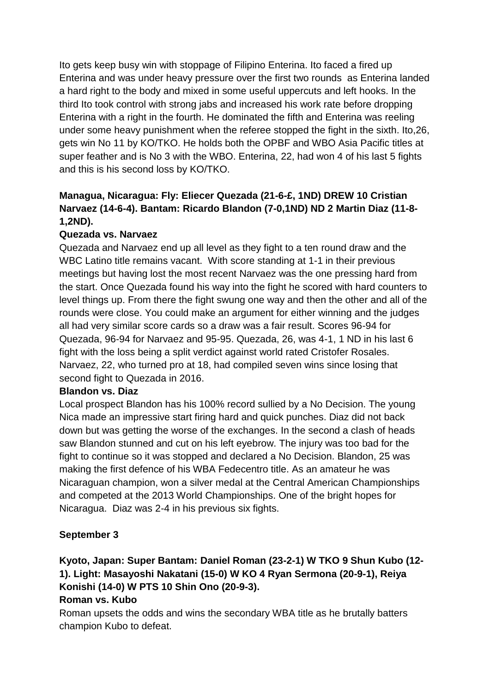Ito gets keep busy win with stoppage of Filipino Enterina. Ito faced a fired up Enterina and was under heavy pressure over the first two rounds as Enterina landed a hard right to the body and mixed in some useful uppercuts and left hooks. In the third Ito took control with strong jabs and increased his work rate before dropping Enterina with a right in the fourth. He dominated the fifth and Enterina was reeling under some heavy punishment when the referee stopped the fight in the sixth. Ito,26, gets win No 11 by KO/TKO. He holds both the OPBF and WBO Asia Pacific titles at super feather and is No 3 with the WBO. Enterina, 22, had won 4 of his last 5 fights and this is his second loss by KO/TKO.

## **Managua, Nicaragua: Fly: Eliecer Quezada (21-6-£, 1ND) DREW 10 Cristian Narvaez (14-6-4). Bantam: Ricardo Blandon (7-0,1ND) ND 2 Martin Diaz (11-8- 1,2ND).**

### **Quezada vs. Narvaez**

Quezada and Narvaez end up all level as they fight to a ten round draw and the WBC Latino title remains vacant. With score standing at 1-1 in their previous meetings but having lost the most recent Narvaez was the one pressing hard from the start. Once Quezada found his way into the fight he scored with hard counters to level things up. From there the fight swung one way and then the other and all of the rounds were close. You could make an argument for either winning and the judges all had very similar score cards so a draw was a fair result. Scores 96-94 for Quezada, 96-94 for Narvaez and 95-95. Quezada, 26, was 4-1, 1 ND in his last 6 fight with the loss being a split verdict against world rated Cristofer Rosales. Narvaez, 22, who turned pro at 18, had compiled seven wins since losing that second fight to Quezada in 2016.

### **Blandon vs. Diaz**

Local prospect Blandon has his 100% record sullied by a No Decision. The young Nica made an impressive start firing hard and quick punches. Diaz did not back down but was getting the worse of the exchanges. In the second a clash of heads saw Blandon stunned and cut on his left eyebrow. The injury was too bad for the fight to continue so it was stopped and declared a No Decision. Blandon, 25 was making the first defence of his WBA Fedecentro title. As an amateur he was Nicaraguan champion, won a silver medal at the Central American Championships and competed at the 2013 World Championships. One of the bright hopes for Nicaragua. Diaz was 2-4 in his previous six fights.

### **September 3**

# **Kyoto, Japan: Super Bantam: Daniel Roman (23-2-1) W TKO 9 Shun Kubo (12- 1). Light: Masayoshi Nakatani (15-0) W KO 4 Ryan Sermona (20-9-1), Reiya Konishi (14-0) W PTS 10 Shin Ono (20-9-3).**

#### **Roman vs. Kubo**

Roman upsets the odds and wins the secondary WBA title as he brutally batters champion Kubo to defeat.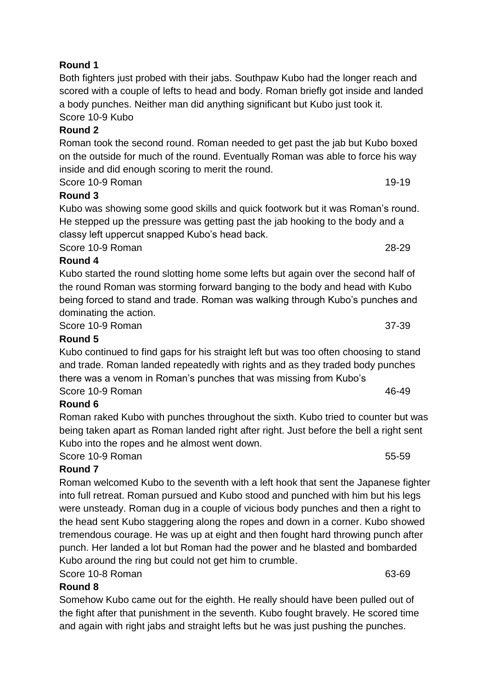Both fighters just probed with their jabs. Southpaw Kubo had the longer reach and scored with a couple of lefts to head and body. Roman briefly got inside and landed a body punches. Neither man did anything significant but Kubo just took it. Score 10-9 Kubo

## **Round 2**

Roman took the second round. Roman needed to get past the jab but Kubo boxed on the outside for much of the round. Eventually Roman was able to force his way inside and did enough scoring to merit the round.

Score 10-9 Roman 19-19

## **Round 3**

Kubo was showing some good skills and quick footwork but it was Roman's round. He stepped up the pressure was getting past the jab hooking to the body and a classy left uppercut snapped Kubo's head back.

Score 10-9 Roman 28-29

## **Round 4**

Kubo started the round slotting home some lefts but again over the second half of the round Roman was storming forward banging to the body and head with Kubo being forced to stand and trade. Roman was walking through Kubo's punches and dominating the action.

Score 10-9 Roman 37-39

## **Round 5**

Kubo continued to find gaps for his straight left but was too often choosing to stand and trade. Roman landed repeatedly with rights and as they traded body punches there was a venom in Roman's punches that was missing from Kubo's Score 10-9 Roman 46-49

# **Round 6**

Roman raked Kubo with punches throughout the sixth. Kubo tried to counter but was being taken apart as Roman landed right after right. Just before the bell a right sent Kubo into the ropes and he almost went down.

Score 10-9 Roman 55-59

# **Round 7**

Roman welcomed Kubo to the seventh with a left hook that sent the Japanese fighter into full retreat. Roman pursued and Kubo stood and punched with him but his legs were unsteady. Roman dug in a couple of vicious body punches and then a right to the head sent Kubo staggering along the ropes and down in a corner. Kubo showed tremendous courage. He was up at eight and then fought hard throwing punch after punch. Her landed a lot but Roman had the power and he blasted and bombarded Kubo around the ring but could not get him to crumble.

## Score 10-8 Roman 63-69

# **Round 8**

Somehow Kubo came out for the eighth. He really should have been pulled out of the fight after that punishment in the seventh. Kubo fought bravely. He scored time and again with right jabs and straight lefts but he was just pushing the punches.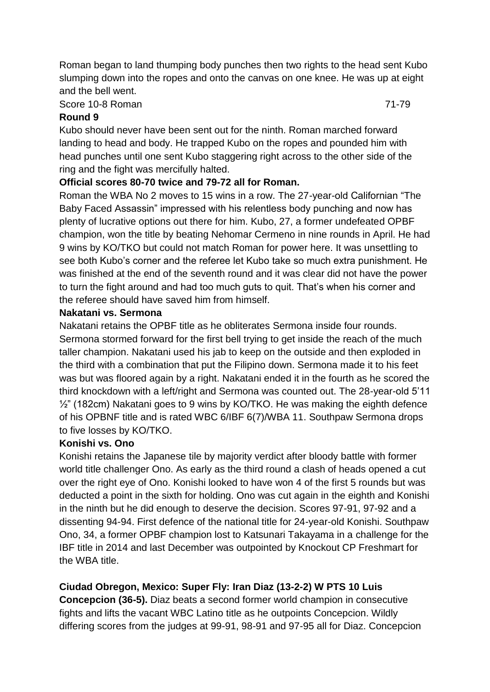Roman began to land thumping body punches then two rights to the head sent Kubo slumping down into the ropes and onto the canvas on one knee. He was up at eight and the bell went.

Score 10-8 Roman 71-79

### **Round 9**

Kubo should never have been sent out for the ninth. Roman marched forward landing to head and body. He trapped Kubo on the ropes and pounded him with head punches until one sent Kubo staggering right across to the other side of the ring and the fight was mercifully halted.

### **Official scores 80-70 twice and 79-72 all for Roman.**

Roman the WBA No 2 moves to 15 wins in a row. The 27-year-old Californian "The Baby Faced Assassin" impressed with his relentless body punching and now has plenty of lucrative options out there for him. Kubo, 27, a former undefeated OPBF champion, won the title by beating Nehomar Cermeno in nine rounds in April. He had 9 wins by KO/TKO but could not match Roman for power here. It was unsettling to see both Kubo's corner and the referee let Kubo take so much extra punishment. He was finished at the end of the seventh round and it was clear did not have the power to turn the fight around and had too much guts to quit. That's when his corner and the referee should have saved him from himself.

### **Nakatani vs. Sermona**

Nakatani retains the OPBF title as he obliterates Sermona inside four rounds. Sermona stormed forward for the first bell trying to get inside the reach of the much taller champion. Nakatani used his jab to keep on the outside and then exploded in the third with a combination that put the Filipino down. Sermona made it to his feet was but was floored again by a right. Nakatani ended it in the fourth as he scored the third knockdown with a left/right and Sermona was counted out. The 28-year-old 5'11 ½" (182cm) Nakatani goes to 9 wins by KO/TKO. He was making the eighth defence of his OPBNF title and is rated WBC 6/IBF 6(7)/WBA 11. Southpaw Sermona drops to five losses by KO/TKO.

### **Konishi vs. Ono**

Konishi retains the Japanese tile by majority verdict after bloody battle with former world title challenger Ono. As early as the third round a clash of heads opened a cut over the right eye of Ono. Konishi looked to have won 4 of the first 5 rounds but was deducted a point in the sixth for holding. Ono was cut again in the eighth and Konishi in the ninth but he did enough to deserve the decision. Scores 97-91, 97-92 and a dissenting 94-94. First defence of the national title for 24-year-old Konishi. Southpaw Ono, 34, a former OPBF champion lost to Katsunari Takayama in a challenge for the IBF title in 2014 and last December was outpointed by Knockout CP Freshmart for the WBA title.

## **Ciudad Obregon, Mexico: Super Fly: Iran Diaz (13-2-2) W PTS 10 Luis**

**Concepcion (36-5).** Diaz beats a second former world champion in consecutive fights and lifts the vacant WBC Latino title as he outpoints Concepcion. Wildly differing scores from the judges at 99-91, 98-91 and 97-95 all for Diaz. Concepcion